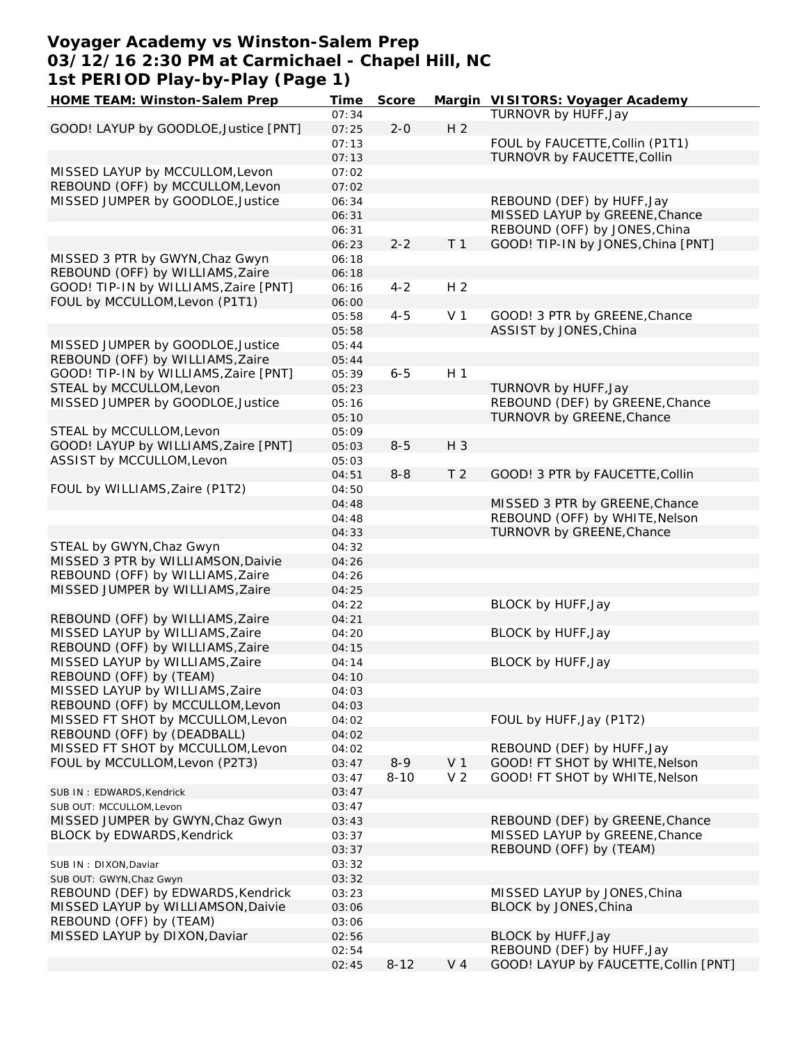#### **Voyager Academy vs Winston-Salem Prep 03/12/16 2:30 PM at Carmichael - Chapel Hill, NC 1st PERIOD Play-by-Play (Page 1)**

| HOME TEAM: Winston-Salem Prep         | Time  | Score    |                | Margin VISITORS: Voyager Academy      |
|---------------------------------------|-------|----------|----------------|---------------------------------------|
|                                       | 07:34 |          |                | TURNOVR by HUFF, Jay                  |
| GOOD! LAYUP by GOODLOE, Justice [PNT] | 07:25 | $2 - 0$  | H <sub>2</sub> |                                       |
|                                       | 07:13 |          |                | FOUL by FAUCETTE, Collin (P1T1)       |
|                                       | 07:13 |          |                | TURNOVR by FAUCETTE, Collin           |
| MISSED LAYUP by MCCULLOM, Levon       | 07:02 |          |                |                                       |
| REBOUND (OFF) by MCCULLOM, Levon      | 07:02 |          |                |                                       |
| MISSED JUMPER by GOODLOE, Justice     | 06:34 |          |                | REBOUND (DEF) by HUFF, Jay            |
|                                       |       |          |                |                                       |
|                                       | 06:31 |          |                | MISSED LAYUP by GREENE, Chance        |
|                                       | 06:31 |          |                | REBOUND (OFF) by JONES, China         |
|                                       | 06:23 | $2 - 2$  | T <sub>1</sub> | GOOD! TIP-IN by JONES, China [PNT]    |
| MISSED 3 PTR by GWYN, Chaz Gwyn       | 06:18 |          |                |                                       |
| REBOUND (OFF) by WILLIAMS, Zaire      | 06:18 |          |                |                                       |
| GOOD! TIP-IN by WILLIAMS, Zaire [PNT] | 06:16 | $4 - 2$  | H <sub>2</sub> |                                       |
| FOUL by MCCULLOM, Levon (P1T1)        | 06:00 |          |                |                                       |
|                                       | 05:58 | $4 - 5$  | V <sub>1</sub> | GOOD! 3 PTR by GREENE, Chance         |
|                                       | 05:58 |          |                | ASSIST by JONES, China                |
| MISSED JUMPER by GOODLOE, Justice     | 05:44 |          |                |                                       |
| REBOUND (OFF) by WILLIAMS, Zaire      | 05:44 |          |                |                                       |
| GOOD! TIP-IN by WILLIAMS, Zaire [PNT] | 05:39 | $6 - 5$  | H <sub>1</sub> |                                       |
|                                       |       |          |                | TURNOVR by HUFF, Jay                  |
| STEAL by MCCULLOM, Levon              | 05:23 |          |                |                                       |
| MISSED JUMPER by GOODLOE, Justice     | 05:16 |          |                | REBOUND (DEF) by GREENE, Chance       |
|                                       | 05:10 |          |                | TURNOVR by GREENE, Chance             |
| STEAL by MCCULLOM, Levon              | 05:09 |          |                |                                       |
| GOOD! LAYUP by WILLIAMS, Zaire [PNT]  | 05:03 | $8 - 5$  | H 3            |                                       |
| ASSIST by MCCULLOM, Levon             | 05:03 |          |                |                                       |
|                                       | 04:51 | $8 - 8$  | T <sub>2</sub> | GOOD! 3 PTR by FAUCETTE, Collin       |
| FOUL by WILLIAMS, Zaire (P1T2)        | 04:50 |          |                |                                       |
|                                       | 04:48 |          |                | MISSED 3 PTR by GREENE, Chance        |
|                                       | 04:48 |          |                | REBOUND (OFF) by WHITE, Nelson        |
|                                       | 04:33 |          |                | TURNOVR by GREENE, Chance             |
| STEAL by GWYN, Chaz Gwyn              | 04:32 |          |                |                                       |
| MISSED 3 PTR by WILLIAMSON, Daivie    | 04:26 |          |                |                                       |
|                                       |       |          |                |                                       |
| REBOUND (OFF) by WILLIAMS, Zaire      | 04:26 |          |                |                                       |
| MISSED JUMPER by WILLIAMS, Zaire      | 04:25 |          |                |                                       |
|                                       | 04:22 |          |                | BLOCK by HUFF, Jay                    |
| REBOUND (OFF) by WILLIAMS, Zaire      | 04:21 |          |                |                                       |
| MISSED LAYUP by WILLIAMS, Zaire       | 04:20 |          |                | BLOCK by HUFF, Jay                    |
| REBOUND (OFF) by WILLIAMS, Zaire      | 04:15 |          |                |                                       |
| MISSED LAYUP by WILLIAMS, Zaire       | 04:14 |          |                | BLOCK by HUFF, Jay                    |
| REBOUND (OFF) by (TEAM)               | 04:10 |          |                |                                       |
| MISSED LAYUP by WILLIAMS, Zaire       | 04:03 |          |                |                                       |
| REBOUND (OFF) by MCCULLOM, Levon      | 04:03 |          |                |                                       |
| MISSED FT SHOT by MCCULLOM, Levon     | 04:02 |          |                | FOUL by HUFF, Jay (P1T2)              |
| REBOUND (OFF) by (DEADBALL)           | 04:02 |          |                |                                       |
| MISSED FT SHOT by MCCULLOM, Levon     | 04:02 |          |                | REBOUND (DEF) by HUFF, Jay            |
| FOUL by MCCULLOM, Levon (P2T3)        |       | $8 - 9$  | V <sub>1</sub> | GOOD! FT SHOT by WHITE, Nelson        |
|                                       | 03:47 |          |                |                                       |
|                                       | 03:47 | $8 - 10$ | V <sub>2</sub> | GOOD! FT SHOT by WHITE, Nelson        |
| SUB IN: EDWARDS, Kendrick             | 03:47 |          |                |                                       |
| SUB OUT: MCCULLOM, Levon              | 03:47 |          |                |                                       |
| MISSED JUMPER by GWYN, Chaz Gwyn      | 03:43 |          |                | REBOUND (DEF) by GREENE, Chance       |
| BLOCK by EDWARDS, Kendrick            | 03:37 |          |                | MISSED LAYUP by GREENE, Chance        |
|                                       | 03:37 |          |                | REBOUND (OFF) by (TEAM)               |
| SUB IN: DIXON, Daviar                 | 03:32 |          |                |                                       |
| SUB OUT: GWYN, Chaz Gwyn              | 03:32 |          |                |                                       |
| REBOUND (DEF) by EDWARDS, Kendrick    | 03:23 |          |                | MISSED LAYUP by JONES, China          |
| MISSED LAYUP by WILLIAMSON, Daivie    | 03:06 |          |                | BLOCK by JONES, China                 |
| REBOUND (OFF) by (TEAM)               | 03:06 |          |                |                                       |
| MISSED LAYUP by DIXON, Daviar         | 02:56 |          |                | BLOCK by HUFF, Jay                    |
|                                       | 02:54 |          |                | REBOUND (DEF) by HUFF, Jay            |
|                                       |       |          |                |                                       |
|                                       | 02:45 | $8 - 12$ | V <sub>4</sub> | GOOD! LAYUP by FAUCETTE, Collin [PNT] |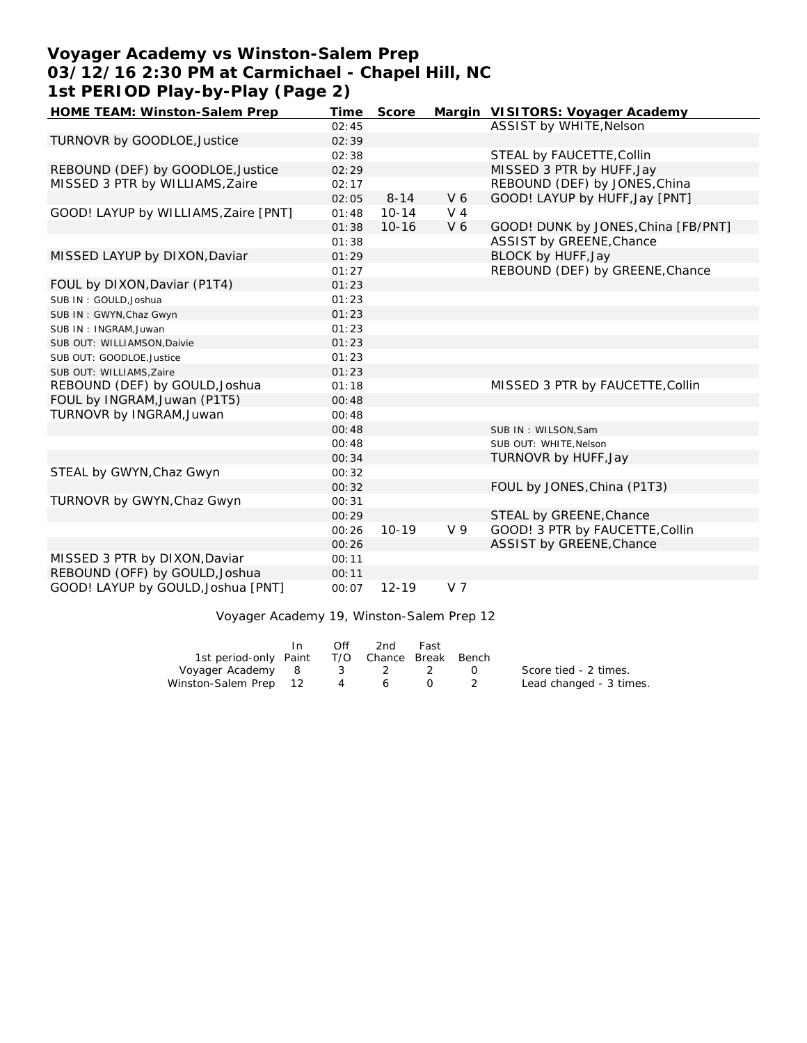# **Voyager Academy vs Winston-Salem Prep 03/12/16 2:30 PM at Carmichael - Chapel Hill, NC 1st PERIOD Play-by-Play (Page 2)**

| HOME TEAM: Winston-Salem Prep        | Time  | Score     |                | Margin VISITORS: Voyager Academy    |
|--------------------------------------|-------|-----------|----------------|-------------------------------------|
|                                      | 02:45 |           |                | ASSIST by WHITE, Nelson             |
| TURNOVR by GOODLOE, Justice          | 02:39 |           |                |                                     |
|                                      | 02:38 |           |                | STEAL by FAUCETTE, Collin           |
| REBOUND (DEF) by GOODLOE, Justice    | 02:29 |           |                | MISSED 3 PTR by HUFF, Jay           |
| MISSED 3 PTR by WILLIAMS, Zaire      | 02:17 |           |                | REBOUND (DEF) by JONES, China       |
|                                      | 02:05 | $8 - 14$  | V6             | GOOD! LAYUP by HUFF, Jay [PNT]      |
| GOOD! LAYUP by WILLIAMS, Zaire [PNT] | 01:48 | $10 - 14$ | $V_4$          |                                     |
|                                      | 01:38 | $10 - 16$ | V <sub>6</sub> | GOOD! DUNK by JONES, China [FB/PNT] |
|                                      | 01:38 |           |                | ASSIST by GREENE, Chance            |
| MISSED LAYUP by DIXON, Daviar        | 01:29 |           |                | BLOCK by HUFF, Jay                  |
|                                      | 01:27 |           |                | REBOUND (DEF) by GREENE, Chance     |
| FOUL by DIXON, Daviar (P1T4)         | 01:23 |           |                |                                     |
| SUB IN: GOULD.Joshua                 | 01:23 |           |                |                                     |
| SUB IN: GWYN, Chaz Gwyn              | 01:23 |           |                |                                     |
| SUB IN: INGRAM, Juwan                | 01:23 |           |                |                                     |
| SUB OUT: WILLIAMSON, Daivie          | 01:23 |           |                |                                     |
| SUB OUT: GOODLOE, Justice            | 01:23 |           |                |                                     |
| SUB OUT: WILLIAMS, Zaire             | 01:23 |           |                |                                     |
| REBOUND (DEF) by GOULD, Joshua       | 01:18 |           |                | MISSED 3 PTR by FAUCETTE, Collin    |
| FOUL by INGRAM, Juwan (P1T5)         | 00:48 |           |                |                                     |
| TURNOVR by INGRAM, Juwan             | 00:48 |           |                |                                     |
|                                      | 00:48 |           |                | SUB IN: WILSON, Sam                 |
|                                      | 00:48 |           |                | SUB OUT: WHITE, Nelson              |
|                                      | 00:34 |           |                | TURNOVR by HUFF, Jay                |
| STEAL by GWYN, Chaz Gwyn             | 00:32 |           |                |                                     |
|                                      | 00:32 |           |                | FOUL by JONES, China (P1T3)         |
| TURNOVR by GWYN, Chaz Gwyn           | 00:31 |           |                |                                     |
|                                      | 00:29 |           |                | STEAL by GREENE, Chance             |
|                                      | 00:26 | $10 - 19$ | V 9            | GOOD! 3 PTR by FAUCETTE, Collin     |
|                                      | 00:26 |           |                | ASSIST by GREENE, Chance            |
| MISSED 3 PTR by DIXON, Daviar        | 00:11 |           |                |                                     |
| REBOUND (OFF) by GOULD, Joshua       | 00:11 |           |                |                                     |
| GOOD! LAYUP by GOULD, Joshua [PNT]   | 00:07 | $12 - 19$ | V 7            |                                     |

Voyager Academy 19, Winston-Salem Prep 12

|                       | In. | Off | 2nd                    | Fast |                        |                         |
|-----------------------|-----|-----|------------------------|------|------------------------|-------------------------|
| 1st period-only Paint |     |     | T/O Chance Break Bench |      |                        |                         |
| Voyager Academy 8     |     |     | 3 2                    |      | $\left( \quad \right)$ | Score tied - 2 times.   |
| Winston-Salem Prep 12 |     | 4   | 6                      |      |                        | Lead changed - 3 times. |
|                       |     |     |                        |      |                        |                         |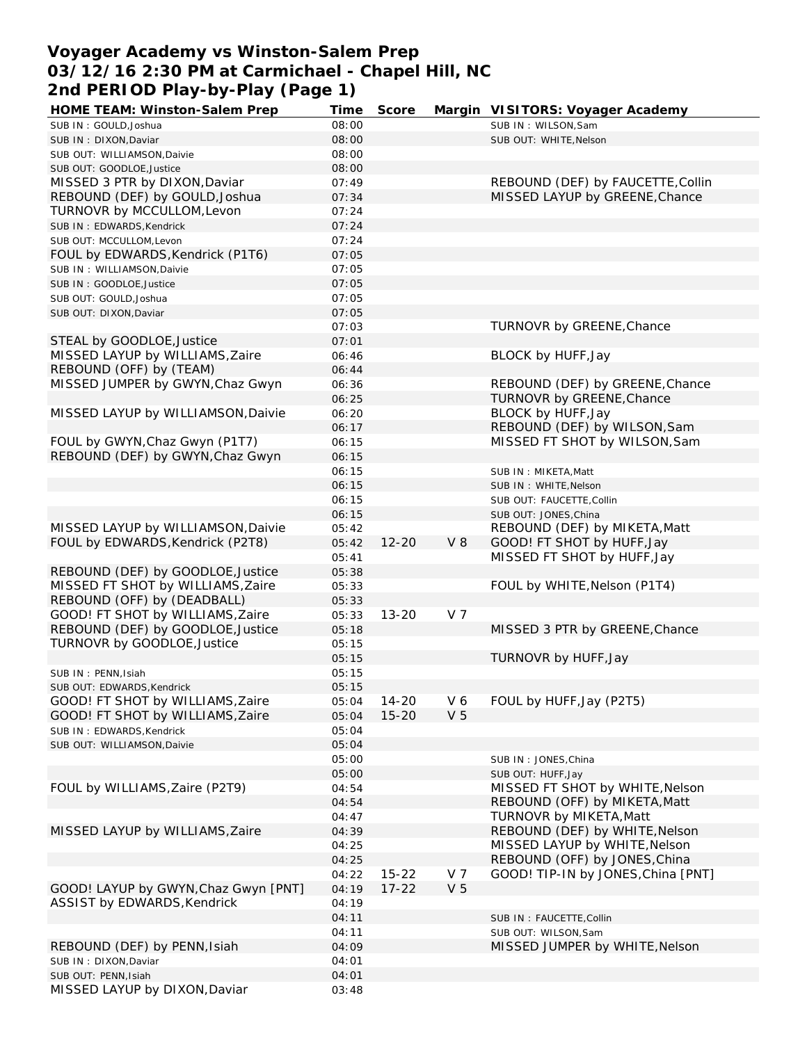### **Voyager Academy vs Winston-Salem Prep 03/12/16 2:30 PM at Carmichael - Chapel Hill, NC 2nd PERIOD Play-by-Play (Page 1)**

| HOME TEAM: Winston-Salem Prep        | Time           | Score     |                | Margin VISITORS: Voyager Academy   |
|--------------------------------------|----------------|-----------|----------------|------------------------------------|
| SUB IN: GOULD, Joshua                | 08:00          |           |                | SUB IN: WILSON, Sam                |
| SUB IN: DIXON, Daviar                | 08:00          |           |                | SUB OUT: WHITE, Nelson             |
| SUB OUT: WILLIAMSON, Daivie          | 08:00          |           |                |                                    |
| SUB OUT: GOODLOE, Justice            | 08:00          |           |                |                                    |
| MISSED 3 PTR by DIXON, Daviar        | 07:49          |           |                | REBOUND (DEF) by FAUCETTE, Collin  |
| REBOUND (DEF) by GOULD, Joshua       | 07:34          |           |                | MISSED LAYUP by GREENE, Chance     |
| TURNOVR by MCCULLOM, Levon           | 07:24          |           |                |                                    |
| SUB IN: EDWARDS, Kendrick            | 07:24          |           |                |                                    |
| SUB OUT: MCCULLOM, Levon             | 07:24          |           |                |                                    |
| FOUL by EDWARDS, Kendrick (P1T6)     | 07:05          |           |                |                                    |
| SUB IN: WILLIAMSON, Daivie           | 07:05          |           |                |                                    |
| SUB IN: GOODLOE, Justice             | 07:05          |           |                |                                    |
| SUB OUT: GOULD, Joshua               | 07:05          |           |                |                                    |
| SUB OUT: DIXON, Daviar               | 07:05          |           |                |                                    |
|                                      | 07:03          |           |                | TURNOVR by GREENE, Chance          |
| STEAL by GOODLOE, Justice            | 07:01          |           |                |                                    |
| MISSED LAYUP by WILLIAMS, Zaire      | 06:46          |           |                | BLOCK by HUFF, Jay                 |
| REBOUND (OFF) by (TEAM)              |                |           |                |                                    |
|                                      | 06:44<br>06:36 |           |                |                                    |
| MISSED JUMPER by GWYN, Chaz Gwyn     |                |           |                | REBOUND (DEF) by GREENE, Chance    |
|                                      | 06:25          |           |                | TURNOVR by GREENE, Chance          |
| MISSED LAYUP by WILLIAMSON, Daivie   | 06:20          |           |                | BLOCK by HUFF, Jay                 |
|                                      | 06:17          |           |                | REBOUND (DEF) by WILSON, Sam       |
| FOUL by GWYN, Chaz Gwyn (P1T7)       | 06:15          |           |                | MISSED FT SHOT by WILSON, Sam      |
| REBOUND (DEF) by GWYN, Chaz Gwyn     | 06:15          |           |                |                                    |
|                                      | 06:15          |           |                | SUB IN: MIKETA, Matt               |
|                                      | 06:15          |           |                | SUB IN: WHITE, Nelson              |
|                                      | 06:15          |           |                | SUB OUT: FAUCETTE, Collin          |
|                                      | 06:15          |           |                | SUB OUT: JONES, China              |
| MISSED LAYUP by WILLIAMSON, Daivie   | 05:42          |           |                | REBOUND (DEF) by MIKETA, Matt      |
| FOUL by EDWARDS, Kendrick (P2T8)     | 05:42          | $12 - 20$ | $V_8$          | GOOD! FT SHOT by HUFF, Jay         |
|                                      | 05:41          |           |                | MISSED FT SHOT by HUFF, Jay        |
| REBOUND (DEF) by GOODLOE, Justice    | 05:38          |           |                |                                    |
| MISSED FT SHOT by WILLIAMS, Zaire    | 05:33          |           |                | FOUL by WHITE, Nelson (P1T4)       |
| REBOUND (OFF) by (DEADBALL)          | 05:33          |           |                |                                    |
| GOOD! FT SHOT by WILLIAMS, Zaire     | 05:33          | $13 - 20$ | V <sub>7</sub> |                                    |
| REBOUND (DEF) by GOODLOE, Justice    | 05:18          |           |                | MISSED 3 PTR by GREENE, Chance     |
| TURNOVR by GOODLOE, Justice          | 05:15          |           |                |                                    |
|                                      | 05:15          |           |                | TURNOVR by HUFF, Jay               |
| SUB IN: PENN, Isiah                  | 05:15          |           |                |                                    |
| SUB OUT: EDWARDS, Kendrick           | 05:15          |           |                |                                    |
| GOOD! FT SHOT by WILLIAMS, Zaire     | 05:04          | $14 - 20$ | V 6            | FOUL by HUFF, Jay (P2T5)           |
| GOOD! FT SHOT by WILLIAMS, Zaire     | 05:04          | $15 - 20$ | V <sub>5</sub> |                                    |
| SUB IN: EDWARDS, Kendrick            | 05:04          |           |                |                                    |
| SUB OUT: WILLIAMSON, Daivie          | 05:04          |           |                |                                    |
|                                      | 05:00          |           |                | SUB IN: JONES, China               |
|                                      | 05:00          |           |                | SUB OUT: HUFF, Jay                 |
| FOUL by WILLIAMS, Zaire (P2T9)       | 04:54          |           |                | MISSED FT SHOT by WHITE, Nelson    |
|                                      | 04:54          |           |                | REBOUND (OFF) by MIKETA, Matt      |
|                                      | 04:47          |           |                | TURNOVR by MIKETA, Matt            |
| MISSED LAYUP by WILLIAMS, Zaire      | 04:39          |           |                | REBOUND (DEF) by WHITE, Nelson     |
|                                      | 04:25          |           |                | MISSED LAYUP by WHITE, Nelson      |
|                                      | 04:25          |           |                | REBOUND (OFF) by JONES, China      |
|                                      | 04:22          | $15 - 22$ | V 7            | GOOD! TIP-IN by JONES, China [PNT] |
| GOOD! LAYUP by GWYN, Chaz Gwyn [PNT] | 04:19          | $17 - 22$ | V <sub>5</sub> |                                    |
| ASSIST by EDWARDS, Kendrick          | 04:19          |           |                |                                    |
|                                      | 04:11          |           |                | SUB IN: FAUCETTE, Collin           |
|                                      | 04:11          |           |                | SUB OUT: WILSON, Sam               |
| REBOUND (DEF) by PENN, Isiah         | 04:09          |           |                | MISSED JUMPER by WHITE, Nelson     |
| SUB IN: DIXON, Daviar                | 04:01          |           |                |                                    |
| SUB OUT: PENN, Isiah                 | 04:01          |           |                |                                    |
| MISSED LAYUP by DIXON, Daviar        | 03:48          |           |                |                                    |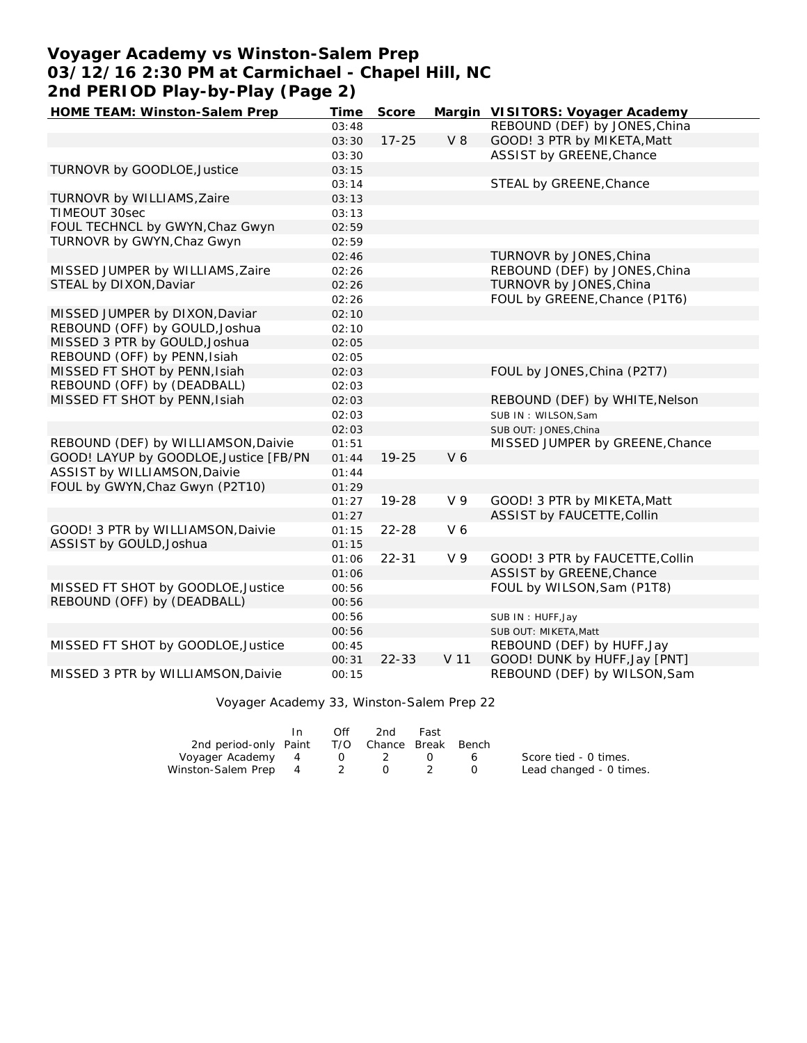# **Voyager Academy vs Winston-Salem Prep 03/12/16 2:30 PM at Carmichael - Chapel Hill, NC 2nd PERIOD Play-by-Play (Page 2)**

| HOME TEAM: Winston-Salem Prep          | Time  | Score     |                | Margin VISITORS: Voyager Academy |
|----------------------------------------|-------|-----------|----------------|----------------------------------|
|                                        | 03:48 |           |                | REBOUND (DEF) by JONES, China    |
|                                        | 03:30 | $17 - 25$ | V8             | GOOD! 3 PTR by MIKETA, Matt      |
|                                        | 03:30 |           |                | ASSIST by GREENE, Chance         |
| TURNOVR by GOODLOE, Justice            | 03:15 |           |                |                                  |
|                                        | 03:14 |           |                | STEAL by GREENE, Chance          |
| TURNOVR by WILLIAMS, Zaire             | 03:13 |           |                |                                  |
| TIMEOUT 30sec                          | 03:13 |           |                |                                  |
| FOUL TECHNCL by GWYN, Chaz Gwyn        | 02:59 |           |                |                                  |
| TURNOVR by GWYN, Chaz Gwyn             | 02:59 |           |                |                                  |
|                                        | 02:46 |           |                | TURNOVR by JONES, China          |
| MISSED JUMPER by WILLIAMS, Zaire       | 02:26 |           |                | REBOUND (DEF) by JONES, China    |
| STEAL by DIXON, Daviar                 | 02:26 |           |                | TURNOVR by JONES, China          |
|                                        | 02:26 |           |                | FOUL by GREENE, Chance (P1T6)    |
| MISSED JUMPER by DIXON, Daviar         | 02:10 |           |                |                                  |
| REBOUND (OFF) by GOULD, Joshua         | 02:10 |           |                |                                  |
| MISSED 3 PTR by GOULD, Joshua          | 02:05 |           |                |                                  |
| REBOUND (OFF) by PENN, Isiah           | 02:05 |           |                |                                  |
| MISSED FT SHOT by PENN, Isiah          | 02:03 |           |                | FOUL by JONES, China (P2T7)      |
| REBOUND (OFF) by (DEADBALL)            | 02:03 |           |                |                                  |
| MISSED FT SHOT by PENN, Isiah          | 02:03 |           |                | REBOUND (DEF) by WHITE, Nelson   |
|                                        | 02:03 |           |                | SUB IN: WILSON, Sam              |
|                                        | 02:03 |           |                | SUB OUT: JONES, China            |
| REBOUND (DEF) by WILLIAMSON, Daivie    | 01:51 |           |                | MISSED JUMPER by GREENE, Chance  |
| GOOD! LAYUP by GOODLOE, Justice [FB/PN | 01:44 | $19 - 25$ | V <sub>6</sub> |                                  |
| ASSIST by WILLIAMSON, Daivie           | 01:44 |           |                |                                  |
| FOUL by GWYN, Chaz Gwyn (P2T10)        | 01:29 |           |                |                                  |
|                                        | 01:27 | 19-28     | V 9            | GOOD! 3 PTR by MIKETA, Matt      |
|                                        | 01:27 |           |                | ASSIST by FAUCETTE, Collin       |
| GOOD! 3 PTR by WILLIAMSON, Daivie      | 01:15 | 22-28     | V 6            |                                  |
| ASSIST by GOULD, Joshua                | 01:15 |           |                |                                  |
|                                        | 01:06 | $22 - 31$ | V 9            | GOOD! 3 PTR by FAUCETTE, Collin  |
|                                        | 01:06 |           |                | ASSIST by GREENE, Chance         |
| MISSED FT SHOT by GOODLOE, Justice     | 00:56 |           |                | FOUL by WILSON, Sam (P1T8)       |
| REBOUND (OFF) by (DEADBALL)            | 00:56 |           |                |                                  |
|                                        | 00:56 |           |                | SUB IN: HUFF, Jay                |
|                                        | 00:56 |           |                | SUB OUT: MIKETA, Matt            |
| MISSED FT SHOT by GOODLOE, Justice     | 00:45 |           |                | REBOUND (DEF) by HUFF, Jay       |
|                                        | 00:31 | $22 - 33$ | V 11           | GOOD! DUNK by HUFF, Jay [PNT]    |
| MISSED 3 PTR by WILLIAMSON, Daivie     | 00:15 |           |                | REBOUND (DEF) by WILSON, Sam     |

#### Voyager Academy 33, Winston-Salem Prep 22

|                                              | Off         | 2nd | Fast |        |                         |
|----------------------------------------------|-------------|-----|------|--------|-------------------------|
| 2nd period-only Paint T/O Chance Break Bench |             |     |      |        |                         |
| Voyager Academy 4                            | $0\qquad 2$ |     |      | $\sim$ | Score tied - 0 times.   |
| Winston-Salem Prep 4 2 0                     |             |     |      |        | Lead changed - 0 times. |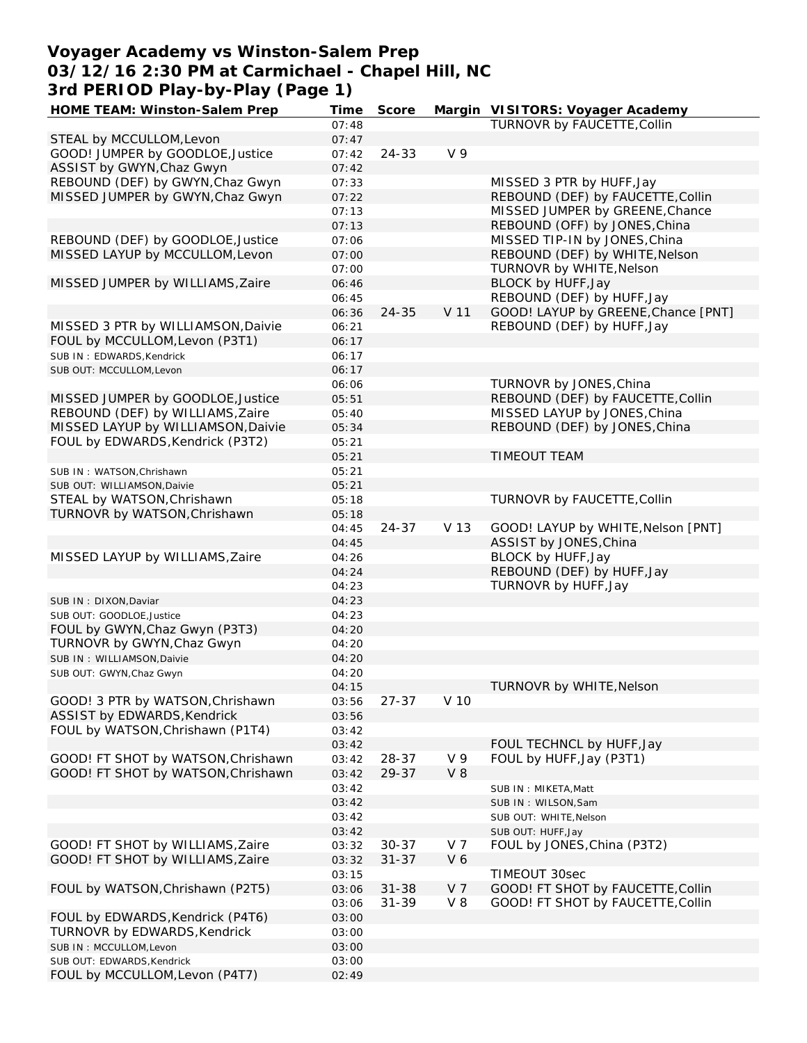## **Voyager Academy vs Winston-Salem Prep 03/12/16 2:30 PM at Carmichael - Chapel Hill, NC 3rd PERIOD Play-by-Play (Page 1)**

| HOME TEAM: Winston-Salem Prep      | Time  | Score     |                | Margin VISITORS: Voyager Academy    |
|------------------------------------|-------|-----------|----------------|-------------------------------------|
|                                    | 07:48 |           |                | TURNOVR by FAUCETTE, Collin         |
| STEAL by MCCULLOM, Levon           | 07:47 |           |                |                                     |
| GOOD! JUMPER by GOODLOE, Justice   | 07:42 | 24-33     | V <sub>9</sub> |                                     |
| ASSIST by GWYN, Chaz Gwyn          | 07:42 |           |                |                                     |
| REBOUND (DEF) by GWYN, Chaz Gwyn   | 07:33 |           |                | MISSED 3 PTR by HUFF, Jay           |
| MISSED JUMPER by GWYN, Chaz Gwyn   | 07:22 |           |                | REBOUND (DEF) by FAUCETTE, Collin   |
|                                    | 07:13 |           |                | MISSED JUMPER by GREENE, Chance     |
|                                    | 07:13 |           |                | REBOUND (OFF) by JONES, China       |
|                                    |       |           |                |                                     |
| REBOUND (DEF) by GOODLOE, Justice  | 07:06 |           |                | MISSED TIP-IN by JONES, China       |
| MISSED LAYUP by MCCULLOM, Levon    | 07:00 |           |                | REBOUND (DEF) by WHITE, Nelson      |
|                                    | 07:00 |           |                | TURNOVR by WHITE, Nelson            |
| MISSED JUMPER by WILLIAMS, Zaire   | 06:46 |           |                | BLOCK by HUFF, Jay                  |
|                                    | 06:45 |           |                | REBOUND (DEF) by HUFF, Jay          |
|                                    | 06:36 | $24 - 35$ | V 11           | GOOD! LAYUP by GREENE, Chance [PNT] |
| MISSED 3 PTR by WILLIAMSON, Daivie | 06:21 |           |                | REBOUND (DEF) by HUFF, Jay          |
| FOUL by MCCULLOM, Levon (P3T1)     | 06:17 |           |                |                                     |
| SUB IN: EDWARDS, Kendrick          | 06:17 |           |                |                                     |
| SUB OUT: MCCULLOM, Levon           | 06:17 |           |                |                                     |
|                                    | 06:06 |           |                | TURNOVR by JONES, China             |
| MISSED JUMPER by GOODLOE, Justice  | 05:51 |           |                | REBOUND (DEF) by FAUCETTE, Collin   |
| REBOUND (DEF) by WILLIAMS, Zaire   | 05:40 |           |                | MISSED LAYUP by JONES, China        |
| MISSED LAYUP by WILLIAMSON, Daivie | 05:34 |           |                | REBOUND (DEF) by JONES, China       |
| FOUL by EDWARDS, Kendrick (P3T2)   | 05:21 |           |                |                                     |
|                                    | 05:21 |           |                | <b>TIMEOUT TEAM</b>                 |
|                                    |       |           |                |                                     |
| SUB IN: WATSON, Chrishawn          | 05:21 |           |                |                                     |
| SUB OUT: WILLIAMSON, Daivie        | 05:21 |           |                |                                     |
| STEAL by WATSON, Chrishawn         | 05:18 |           |                | TURNOVR by FAUCETTE, Collin         |
| TURNOVR by WATSON, Chrishawn       | 05:18 |           |                |                                     |
|                                    | 04:45 | 24-37     | V 13           | GOOD! LAYUP by WHITE, Nelson [PNT]  |
|                                    | 04:45 |           |                | ASSIST by JONES, China              |
| MISSED LAYUP by WILLIAMS, Zaire    | 04:26 |           |                | BLOCK by HUFF, Jay                  |
|                                    | 04:24 |           |                | REBOUND (DEF) by HUFF, Jay          |
|                                    | 04:23 |           |                | TURNOVR by HUFF, Jay                |
| SUB IN: DIXON, Daviar              | 04:23 |           |                |                                     |
| SUB OUT: GOODLOE.Justice           | 04:23 |           |                |                                     |
| FOUL by GWYN, Chaz Gwyn (P3T3)     | 04:20 |           |                |                                     |
| TURNOVR by GWYN, Chaz Gwyn         | 04:20 |           |                |                                     |
|                                    | 04:20 |           |                |                                     |
| SUB IN: WILLIAMSON, Daivie         |       |           |                |                                     |
| SUB OUT: GWYN, Chaz Gwyn           | 04:20 |           |                |                                     |
|                                    | 04:15 |           |                | TURNOVR by WHITE, Nelson            |
| GOOD! 3 PTR by WATSON, Chrishawn   | 03:56 | 27-37     | V 10           |                                     |
| ASSIST by EDWARDS, Kendrick        | 03:56 |           |                |                                     |
| FOUL by WATSON, Chrishawn (P1T4)   | 03:42 |           |                |                                     |
|                                    | 03:42 |           |                | FOUL TECHNCL by HUFF, Jay           |
| GOOD! FT SHOT by WATSON, Chrishawn | 03:42 | 28-37     | V 9            | FOUL by HUFF, Jay (P3T1)            |
| GOOD! FT SHOT by WATSON, Chrishawn | 03:42 | 29-37     | $V_8$          |                                     |
|                                    | 03:42 |           |                | SUB IN: MIKETA, Matt                |
|                                    | 03:42 |           |                | SUB IN: WILSON, Sam                 |
|                                    | 03:42 |           |                | SUB OUT: WHITE, Nelson              |
|                                    | 03:42 |           |                | SUB OUT: HUFF, Jay                  |
| GOOD! FT SHOT by WILLIAMS, Zaire   | 03:32 | $30 - 37$ | V 7            | FOUL by JONES, China (P3T2)         |
| GOOD! FT SHOT by WILLIAMS, Zaire   | 03:32 | $31 - 37$ | V6             |                                     |
|                                    | 03:15 |           |                | TIMEOUT 30sec                       |
|                                    |       |           |                |                                     |
| FOUL by WATSON, Chrishawn (P2T5)   | 03:06 | $31 - 38$ | V <sub>7</sub> | GOOD! FT SHOT by FAUCETTE, Collin   |
|                                    | 03:06 | $31 - 39$ | $V_8$          | GOOD! FT SHOT by FAUCETTE, Collin   |
| FOUL by EDWARDS, Kendrick (P4T6)   | 03:00 |           |                |                                     |
| TURNOVR by EDWARDS, Kendrick       | 03:00 |           |                |                                     |
| SUB IN: MCCULLOM, Levon            | 03:00 |           |                |                                     |
| SUB OUT: EDWARDS, Kendrick         | 03:00 |           |                |                                     |
| FOUL by MCCULLOM, Levon (P4T7)     | 02:49 |           |                |                                     |
|                                    |       |           |                |                                     |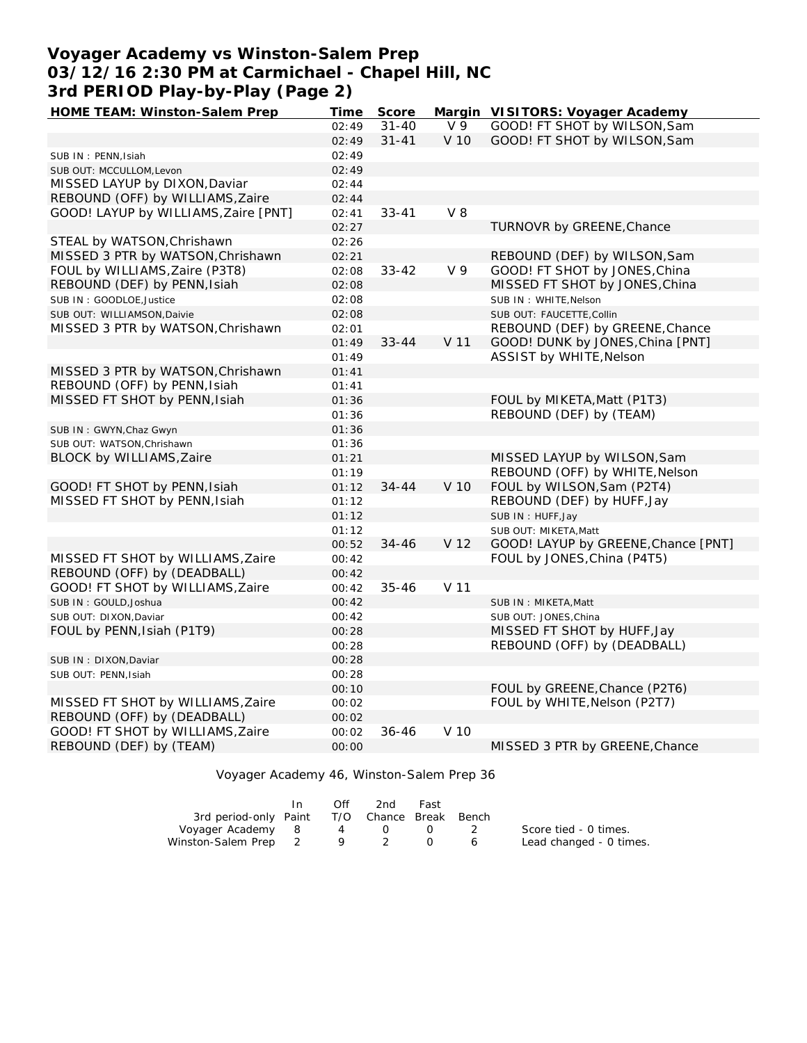## **Voyager Academy vs Winston-Salem Prep 03/12/16 2:30 PM at Carmichael - Chapel Hill, NC 3rd PERIOD Play-by-Play (Page 2)**

| HOME TEAM: Winston-Salem Prep        | Time  | Score     |                | Margin VISITORS: Voyager Academy                |
|--------------------------------------|-------|-----------|----------------|-------------------------------------------------|
|                                      | 02:49 | $31 - 40$ | V <sub>9</sub> | GOOD! FT SHOT by WILSON, Sam                    |
|                                      | 02:49 | $31 - 41$ | V 10           | GOOD! FT SHOT by WILSON, Sam                    |
| SUB IN: PENN, Isiah                  | 02:49 |           |                |                                                 |
| SUB OUT: MCCULLOM, Levon             | 02:49 |           |                |                                                 |
| MISSED LAYUP by DIXON, Daviar        | 02:44 |           |                |                                                 |
| REBOUND (OFF) by WILLIAMS, Zaire     | 02:44 |           |                |                                                 |
| GOOD! LAYUP by WILLIAMS, Zaire [PNT] | 02:41 | $33 - 41$ | $V_8$          |                                                 |
|                                      | 02:27 |           |                | TURNOVR by GREENE, Chance                       |
| STEAL by WATSON, Chrishawn           | 02:26 |           |                |                                                 |
| MISSED 3 PTR by WATSON, Chrishawn    | 02:21 |           |                | REBOUND (DEF) by WILSON, Sam                    |
| FOUL by WILLIAMS, Zaire (P3T8)       | 02:08 | $33 - 42$ | V <sub>9</sub> | GOOD! FT SHOT by JONES, China                   |
| REBOUND (DEF) by PENN, Isiah         | 02:08 |           |                | MISSED FT SHOT by JONES, China                  |
| SUB IN: GOODLOE, Justice             | 02:08 |           |                | SUB IN: WHITE.Nelson                            |
| SUB OUT: WILLIAMSON, Daivie          | 02:08 |           |                | SUB OUT: FAUCETTE, Collin                       |
| MISSED 3 PTR by WATSON, Chrishawn    | 02:01 |           |                | REBOUND (DEF) by GREENE, Chance                 |
|                                      | 01:49 | $33 - 44$ | V 11           | GOOD! DUNK by JONES, China [PNT]                |
|                                      | 01:49 |           |                | ASSIST by WHITE, Nelson                         |
| MISSED 3 PTR by WATSON, Chrishawn    | 01:41 |           |                |                                                 |
| REBOUND (OFF) by PENN, Isiah         | 01:41 |           |                |                                                 |
| MISSED FT SHOT by PENN, Isiah        | 01:36 |           |                | FOUL by MIKETA, Matt (P1T3)                     |
|                                      |       |           |                | REBOUND (DEF) by (TEAM)                         |
|                                      | 01:36 |           |                |                                                 |
| SUB IN: GWYN, Chaz Gwyn              | 01:36 |           |                |                                                 |
| SUB OUT: WATSON, Chrishawn           | 01:36 |           |                | MISSED LAYUP by WILSON, Sam                     |
| BLOCK by WILLIAMS, Zaire             | 01:21 |           |                |                                                 |
|                                      | 01:19 | $34 - 44$ | V 10           | REBOUND (OFF) by WHITE, Nelson                  |
| GOOD! FT SHOT by PENN, Isiah         | 01:12 |           |                | FOUL by WILSON, Sam (P2T4)                      |
| MISSED FT SHOT by PENN, Isiah        | 01:12 |           |                | REBOUND (DEF) by HUFF, Jay<br>SUB IN: HUFF, Jay |
|                                      | 01:12 |           |                |                                                 |
|                                      | 01:12 |           |                | SUB OUT: MIKETA, Matt                           |
|                                      | 00:52 | $34 - 46$ | V 12           | GOOD! LAYUP by GREENE, Chance [PNT]             |
| MISSED FT SHOT by WILLIAMS, Zaire    | 00:42 |           |                | FOUL by JONES, China (P4T5)                     |
| REBOUND (OFF) by (DEADBALL)          | 00:42 |           |                |                                                 |
| GOOD! FT SHOT by WILLIAMS, Zaire     | 00:42 | $35 - 46$ | V 11           |                                                 |
| SUB IN: GOULD, Joshua                | 00:42 |           |                | SUB IN: MIKETA, Matt                            |
| SUB OUT: DIXON, Daviar               | 00:42 |           |                | SUB OUT: JONES, China                           |
| FOUL by PENN, Isiah (P1T9)           | 00:28 |           |                | MISSED FT SHOT by HUFF, Jay                     |
|                                      | 00:28 |           |                | REBOUND (OFF) by (DEADBALL)                     |
| SUB IN: DIXON, Daviar                | 00:28 |           |                |                                                 |
| SUB OUT: PENN, Isiah                 | 00:28 |           |                |                                                 |
|                                      | 00:10 |           |                | FOUL by GREENE, Chance (P2T6)                   |
| MISSED FT SHOT by WILLIAMS, Zaire    | 00:02 |           |                | FOUL by WHITE, Nelson (P2T7)                    |
| REBOUND (OFF) by (DEADBALL)          | 00:02 |           |                |                                                 |
| GOOD! FT SHOT by WILLIAMS, Zaire     | 00:02 | $36 - 46$ | V 10           |                                                 |
| REBOUND (DEF) by (TEAM)              | 00:00 |           |                | MISSED 3 PTR by GREENE, Chance                  |
|                                      |       |           |                |                                                 |

Voyager Academy 46, Winston-Salem Prep 36

|                       | In. | Off | 2nd                    | Fast |   |                         |
|-----------------------|-----|-----|------------------------|------|---|-------------------------|
| 3rd period-only Paint |     |     | T/O Chance Break Bench |      |   |                         |
| Voyager Academy 8     |     | 4   |                        |      |   | Score tied - 0 times.   |
| Winston-Salem Prep 2  |     |     |                        |      | 6 | Lead changed - 0 times. |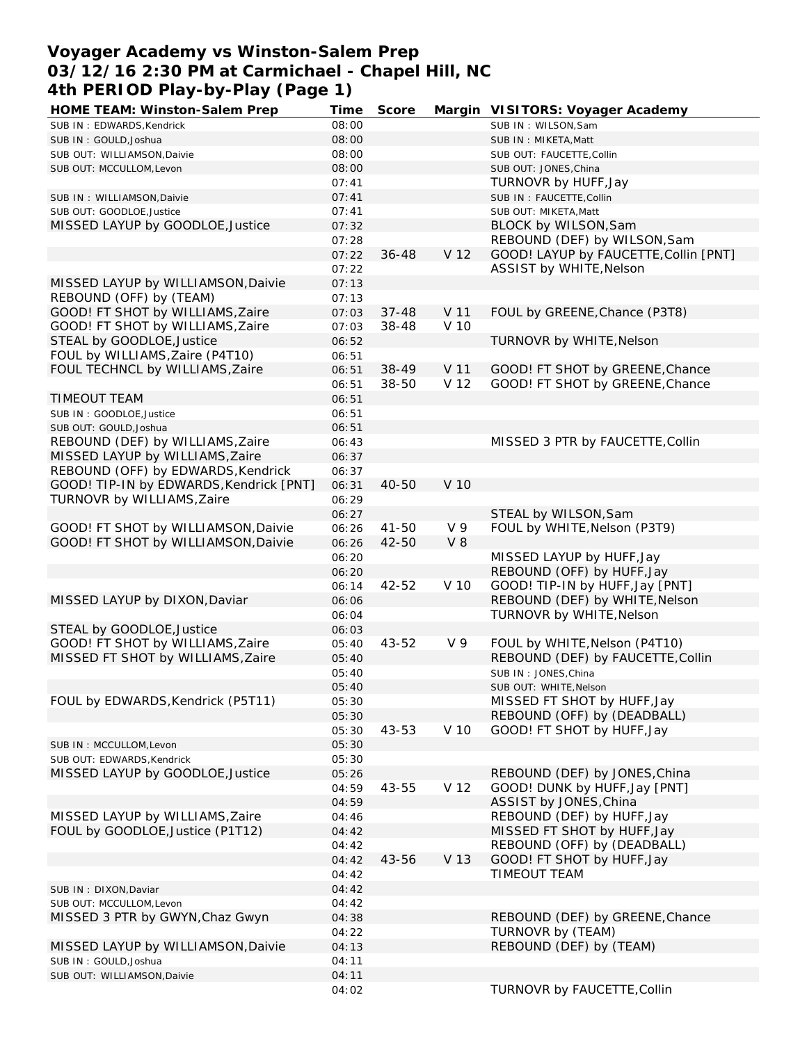# **Voyager Academy vs Winston-Salem Prep 03/12/16 2:30 PM at Carmichael - Chapel Hill, NC 4th PERIOD Play-by-Play (Page 1)**

| HOME TEAM: Winston-Salem Prep           | Time  | Score     |                | Margin VISITORS: Voyager Academy      |
|-----------------------------------------|-------|-----------|----------------|---------------------------------------|
| SUB IN: EDWARDS, Kendrick               | 08:00 |           |                | SUB IN: WILSON, Sam                   |
| SUB IN: GOULD, Joshua                   | 08:00 |           |                | SUB IN: MIKETA, Matt                  |
| SUB OUT: WILLIAMSON, Daivie             | 08:00 |           |                | SUB OUT: FAUCETTE, Collin             |
| SUB OUT: MCCULLOM, Levon                | 08:00 |           |                | SUB OUT: JONES, China                 |
|                                         | 07:41 |           |                | TURNOVR by HUFF, Jay                  |
| SUB IN: WILLIAMSON, Daivie              | 07:41 |           |                | SUB IN: FAUCETTE, Collin              |
| SUB OUT: GOODLOE, Justice               | 07:41 |           |                | SUB OUT: MIKETA, Matt                 |
| MISSED LAYUP by GOODLOE, Justice        | 07:32 |           |                | BLOCK by WILSON, Sam                  |
|                                         | 07:28 |           |                | REBOUND (DEF) by WILSON, Sam          |
|                                         | 07:22 | $36 - 48$ | V 12           | GOOD! LAYUP by FAUCETTE, Collin [PNT] |
|                                         | 07:22 |           |                | ASSIST by WHITE, Nelson               |
| MISSED LAYUP by WILLIAMSON, Daivie      | 07:13 |           |                |                                       |
| REBOUND (OFF) by (TEAM)                 | 07:13 |           |                |                                       |
| GOOD! FT SHOT by WILLIAMS, Zaire        | 07:03 | $37 - 48$ | V 11           | FOUL by GREENE, Chance (P3T8)         |
| GOOD! FT SHOT by WILLIAMS, Zaire        | 07:03 | 38-48     | V 10           |                                       |
| STEAL by GOODLOE, Justice               | 06:52 |           |                | TURNOVR by WHITE, Nelson              |
| FOUL by WILLIAMS, Zaire (P4T10)         |       |           |                |                                       |
|                                         | 06:51 | 38-49     |                |                                       |
| FOUL TECHNCL by WILLIAMS, Zaire         | 06:51 |           | V 11           | GOOD! FT SHOT by GREENE, Chance       |
|                                         | 06:51 | 38-50     | V 12           | GOOD! FT SHOT by GREENE, Chance       |
| <b>TIMEOUT TEAM</b>                     | 06:51 |           |                |                                       |
| SUB IN: GOODLOE, Justice                | 06:51 |           |                |                                       |
| SUB OUT: GOULD, Joshua                  | 06:51 |           |                |                                       |
| REBOUND (DEF) by WILLIAMS, Zaire        | 06:43 |           |                | MISSED 3 PTR by FAUCETTE, Collin      |
| MISSED LAYUP by WILLIAMS, Zaire         | 06:37 |           |                |                                       |
| REBOUND (OFF) by EDWARDS, Kendrick      | 06:37 |           |                |                                       |
| GOOD! TIP-IN by EDWARDS, Kendrick [PNT] | 06:31 | 40-50     | V 10           |                                       |
| TURNOVR by WILLIAMS, Zaire              | 06:29 |           |                |                                       |
|                                         | 06:27 |           |                | STEAL by WILSON, Sam                  |
| GOOD! FT SHOT by WILLIAMSON, Daivie     | 06:26 | $41 - 50$ | V <sub>9</sub> | FOUL by WHITE, Nelson (P3T9)          |
| GOOD! FT SHOT by WILLIAMSON, Daivie     | 06:26 | 42-50     | $V_8$          |                                       |
|                                         | 06:20 |           |                | MISSED LAYUP by HUFF, Jay             |
|                                         | 06:20 |           |                | REBOUND (OFF) by HUFF, Jay            |
|                                         | 06:14 | 42-52     | V 10           | GOOD! TIP-IN by HUFF, Jay [PNT]       |
| MISSED LAYUP by DIXON, Daviar           | 06:06 |           |                | REBOUND (DEF) by WHITE, Nelson        |
|                                         | 06:04 |           |                | TURNOVR by WHITE, Nelson              |
| STEAL by GOODLOE, Justice               | 06:03 |           |                |                                       |
| GOOD! FT SHOT by WILLIAMS, Zaire        | 05:40 | 43-52     | V 9            | FOUL by WHITE, Nelson (P4T10)         |
| MISSED FT SHOT by WILLIAMS, Zaire       | 05:40 |           |                | REBOUND (DEF) by FAUCETTE, Collin     |
|                                         | 05:40 |           |                | SUB IN: JONES, China                  |
|                                         | 05:40 |           |                | SUB OUT: WHITE, Nelson                |
| FOUL by EDWARDS, Kendrick (P5T11)       | 05:30 |           |                | MISSED FT SHOT by HUFF, Jay           |
|                                         | 05:30 |           |                | REBOUND (OFF) by (DEADBALL)           |
|                                         | 05:30 | 43-53     | V 10           | GOOD! FT SHOT by HUFF, Jay            |
| SUB IN: MCCULLOM, Levon                 | 05:30 |           |                |                                       |
| SUB OUT: EDWARDS, Kendrick              | 05:30 |           |                |                                       |
| MISSED LAYUP by GOODLOE, Justice        | 05:26 |           |                | REBOUND (DEF) by JONES, China         |
|                                         | 04:59 | 43-55     | V 12           | GOOD! DUNK by HUFF, Jay [PNT]         |
|                                         | 04:59 |           |                | ASSIST by JONES, China                |
| MISSED LAYUP by WILLIAMS, Zaire         | 04:46 |           |                | REBOUND (DEF) by HUFF, Jay            |
| FOUL by GOODLOE, Justice (P1T12)        | 04:42 |           |                | MISSED FT SHOT by HUFF, Jay           |
|                                         | 04:42 |           |                | REBOUND (OFF) by (DEADBALL)           |
|                                         | 04:42 | 43-56     | V 13           | GOOD! FT SHOT by HUFF, Jay            |
|                                         | 04:42 |           |                | TIMEOUT TEAM                          |
| SUB IN: DIXON, Daviar                   | 04:42 |           |                |                                       |
| SUB OUT: MCCULLOM, Levon                | 04:42 |           |                |                                       |
| MISSED 3 PTR by GWYN, Chaz Gwyn         | 04:38 |           |                | REBOUND (DEF) by GREENE, Chance       |
|                                         | 04:22 |           |                | TURNOVR by (TEAM)                     |
| MISSED LAYUP by WILLIAMSON, Daivie      | 04:13 |           |                | REBOUND (DEF) by (TEAM)               |
| SUB IN: GOULD, Joshua                   | 04:11 |           |                |                                       |
| SUB OUT: WILLIAMSON, Daivie             | 04:11 |           |                |                                       |
|                                         | 04:02 |           |                | TURNOVR by FAUCETTE, Collin           |
|                                         |       |           |                |                                       |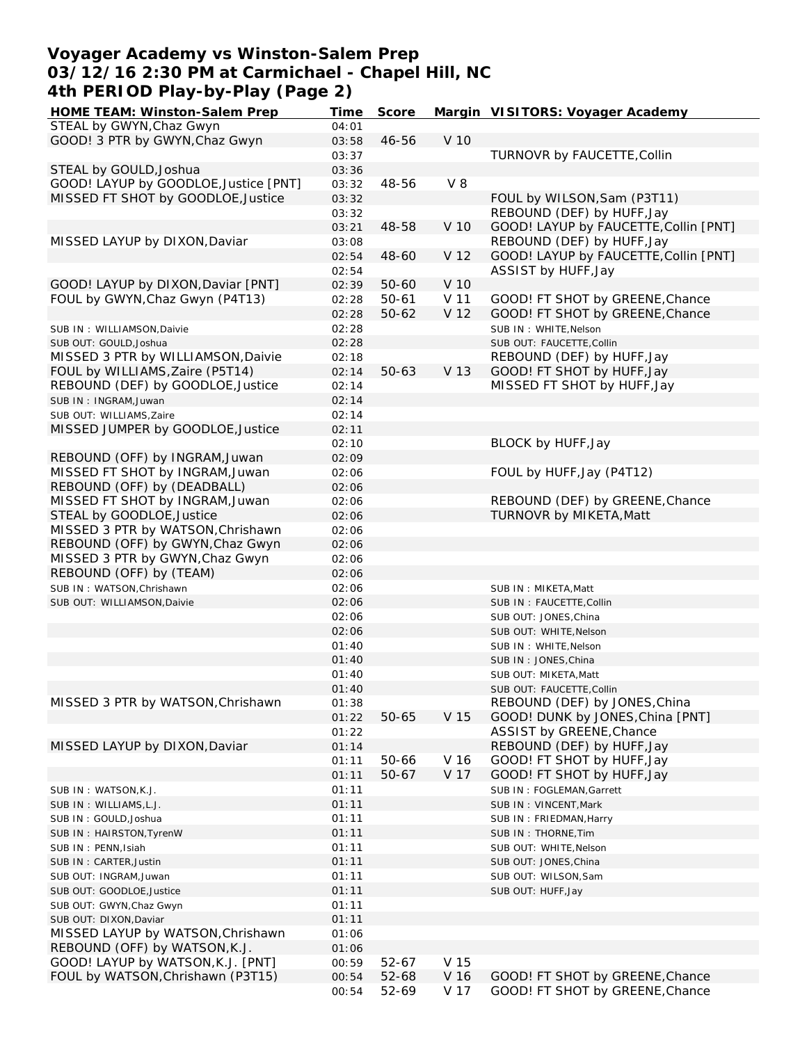#### **Voyager Academy vs Winston-Salem Prep 03/12/16 2:30 PM at Carmichael - Chapel Hill, NC 4th PERIOD Play-by-Play (Page 2)**

| HOME TEAM: Winston-Salem Prep         | Time  | Score     |       | Margin VISITORS: Voyager Academy      |
|---------------------------------------|-------|-----------|-------|---------------------------------------|
| STEAL by GWYN, Chaz Gwyn              | 04:01 |           |       |                                       |
| GOOD! 3 PTR by GWYN, Chaz Gwyn        | 03:58 | 46-56     | V 10  |                                       |
|                                       | 03:37 |           |       | TURNOVR by FAUCETTE, Collin           |
| STEAL by GOULD, Joshua                | 03:36 |           |       |                                       |
| GOOD! LAYUP by GOODLOE, Justice [PNT] | 03:32 | 48-56     | $V_8$ |                                       |
| MISSED FT SHOT by GOODLOE, Justice    | 03:32 |           |       | FOUL by WILSON, Sam (P3T11)           |
|                                       | 03:32 |           |       | REBOUND (DEF) by HUFF, Jay            |
|                                       |       | 48-58     | V 10  | GOOD! LAYUP by FAUCETTE, Collin [PNT] |
|                                       | 03:21 |           |       | REBOUND (DEF) by HUFF, Jay            |
| MISSED LAYUP by DIXON, Daviar         | 03:08 |           |       |                                       |
|                                       | 02:54 | 48-60     | V 12  | GOOD! LAYUP by FAUCETTE, Collin [PNT] |
|                                       | 02:54 |           |       | ASSIST by HUFF, Jay                   |
| GOOD! LAYUP by DIXON, Daviar [PNT]    | 02:39 | $50 - 60$ | V 10  |                                       |
| FOUL by GWYN, Chaz Gwyn (P4T13)       | 02:28 | $50 - 61$ | V 11  | GOOD! FT SHOT by GREENE, Chance       |
|                                       | 02:28 | $50 - 62$ | V 12  | GOOD! FT SHOT by GREENE, Chance       |
| SUB IN: WILLIAMSON, Daivie            | 02:28 |           |       | SUB IN: WHITE, Nelson                 |
| SUB OUT: GOULD, Joshua                | 02:28 |           |       | SUB OUT: FAUCETTE, Collin             |
| MISSED 3 PTR by WILLIAMSON, Daivie    | 02:18 |           |       | REBOUND (DEF) by HUFF, Jay            |
| FOUL by WILLIAMS, Zaire (P5T14)       | 02:14 | $50 - 63$ | V 13  | GOOD! FT SHOT by HUFF, Jay            |
| REBOUND (DEF) by GOODLOE, Justice     | 02:14 |           |       | MISSED FT SHOT by HUFF, Jay           |
| SUB IN: INGRAM, Juwan                 | 02:14 |           |       |                                       |
| SUB OUT: WILLIAMS, Zaire              | 02:14 |           |       |                                       |
| MISSED JUMPER by GOODLOE, Justice     | 02:11 |           |       |                                       |
|                                       |       |           |       | BLOCK by HUFF, Jay                    |
|                                       | 02:10 |           |       |                                       |
| REBOUND (OFF) by INGRAM, Juwan        | 02:09 |           |       |                                       |
| MISSED FT SHOT by INGRAM, Juwan       | 02:06 |           |       | FOUL by HUFF, Jay (P4T12)             |
| REBOUND (OFF) by (DEADBALL)           | 02:06 |           |       |                                       |
| MISSED FT SHOT by INGRAM, Juwan       | 02:06 |           |       | REBOUND (DEF) by GREENE, Chance       |
| STEAL by GOODLOE, Justice             | 02:06 |           |       | TURNOVR by MIKETA, Matt               |
| MISSED 3 PTR by WATSON, Chrishawn     | 02:06 |           |       |                                       |
| REBOUND (OFF) by GWYN, Chaz Gwyn      | 02:06 |           |       |                                       |
| MISSED 3 PTR by GWYN, Chaz Gwyn       | 02:06 |           |       |                                       |
| REBOUND (OFF) by (TEAM)               | 02:06 |           |       |                                       |
| SUB IN: WATSON, Chrishawn             | 02:06 |           |       | SUB IN: MIKETA, Matt                  |
| SUB OUT: WILLIAMSON, Daivie           | 02:06 |           |       | SUB IN: FAUCETTE, Collin              |
|                                       | 02:06 |           |       | SUB OUT: JONES, China                 |
|                                       | 02:06 |           |       | SUB OUT: WHITE, Nelson                |
|                                       | 01:40 |           |       | SUB IN: WHITE, Nelson                 |
|                                       | 01:40 |           |       |                                       |
|                                       |       |           |       | SUB IN: JONES, China                  |
|                                       | 01:40 |           |       | SUB OUT: MIKETA, Matt                 |
|                                       | 01:40 |           |       | SUB OUT: FAUCETTE, Collin             |
| MISSED 3 PTR by WATSON, Chrishawn     | 01:38 |           |       | REBOUND (DEF) by JONES, China         |
|                                       | 01:22 | 50-65     | V 15  | GOOD! DUNK by JONES, China [PNT]      |
|                                       | 01:22 |           |       | ASSIST by GREENE, Chance              |
| MISSED LAYUP by DIXON, Daviar         | 01:14 |           |       | REBOUND (DEF) by HUFF, Jay            |
|                                       | 01:11 | 50-66     | V 16  | GOOD! FT SHOT by HUFF, Jay            |
|                                       | 01:11 | $50 - 67$ | V 17  | GOOD! FT SHOT by HUFF, Jay            |
| SUB IN: WATSON, K.J.                  | 01:11 |           |       | SUB IN: FOGLEMAN, Garrett             |
| SUB IN: WILLIAMS, L.J.                | 01:11 |           |       | SUB IN: VINCENT, Mark                 |
| SUB IN: GOULD, Joshua                 | 01:11 |           |       | SUB IN: FRIEDMAN, Harry               |
| SUB IN: HAIRSTON, TyrenW              | 01:11 |           |       | SUB IN: THORNE, Tim                   |
| SUB IN: PENN, Isiah                   | 01:11 |           |       | SUB OUT: WHITE, Nelson                |
| SUB IN: CARTER, Justin                | 01:11 |           |       | SUB OUT: JONES, China                 |
|                                       | 01:11 |           |       |                                       |
| SUB OUT: INGRAM, Juwan                |       |           |       | SUB OUT: WILSON, Sam                  |
| SUB OUT: GOODLOE, Justice             | 01:11 |           |       | SUB OUT: HUFF, Jay                    |
| SUB OUT: GWYN, Chaz Gwyn              | 01:11 |           |       |                                       |
| SUB OUT: DIXON, Daviar                | 01:11 |           |       |                                       |
| MISSED LAYUP by WATSON, Chrishawn     | 01:06 |           |       |                                       |
| REBOUND (OFF) by WATSON, K.J.         | 01:06 |           |       |                                       |
| GOOD! LAYUP by WATSON, K.J. [PNT]     | 00:59 | 52-67     | V 15  |                                       |
| FOUL by WATSON, Chrishawn (P3T15)     | 00:54 | 52-68     | V 16  | GOOD! FT SHOT by GREENE, Chance       |
|                                       | 00:54 | 52-69     | V 17  | GOOD! FT SHOT by GREENE, Chance       |